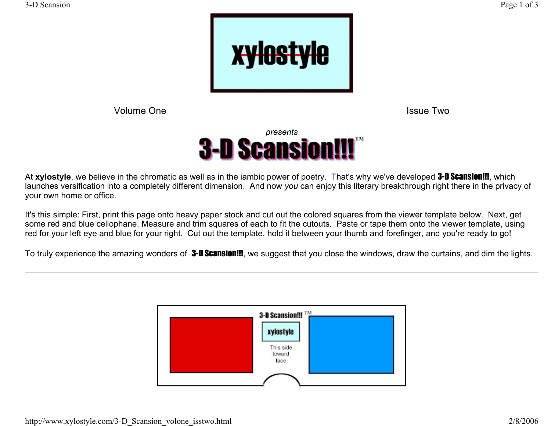

Volume One

Issue Two



At **xylostyle**, we believe in the chromatic as well as in the iambic power of poetry. That's why we've developed 3-D Scansion!!!, which launches versification into a completely different dimension. And now *you* can enjoy this literary breakthrough right there in the privacy of your own home or office.

It's this simple: First, print this page onto heavy paper stock and cut out the colored squares from the viewer template below. Next, get some red and blue cellophane. Measure and trim squares of each to fit the cutouts. Paste or tape them onto the viewer template, using red for your left eye and blue for your right. Cut out the template, hold it between your thumb and forefinger, and you're ready to go!

To truly experience the amazing wonders of **3-D Scansion!!!**, we suggest that you close the windows, draw the curtains, and dim the lights.

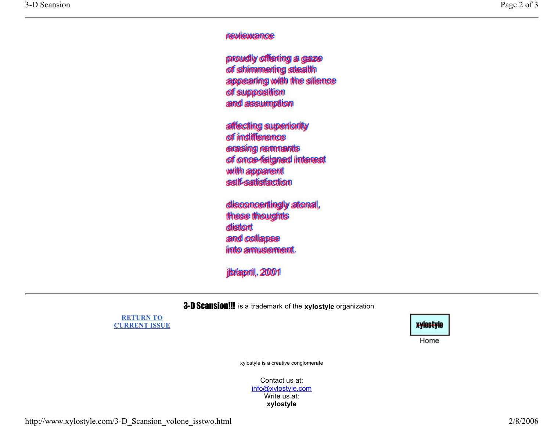## reviewance

proudly offering a gaze of shimmerling stealth appearing with the silence of supposition and assumption

affecting superiority of indifference erasing remnants of once-feigned interest with apparent self-satisfaction

disconcertingly atonal, these thoughts distort and collapse into amusement.

jb/april, 2001

3-D Scansion!!! is a trademark of the **xylostyle** organization.

**RETURN TO CURRENT ISSUE**



Home

xylostyle is a creative conglomerate

Contact us at: info@xylostyle.com Write us at: **xylostyle**